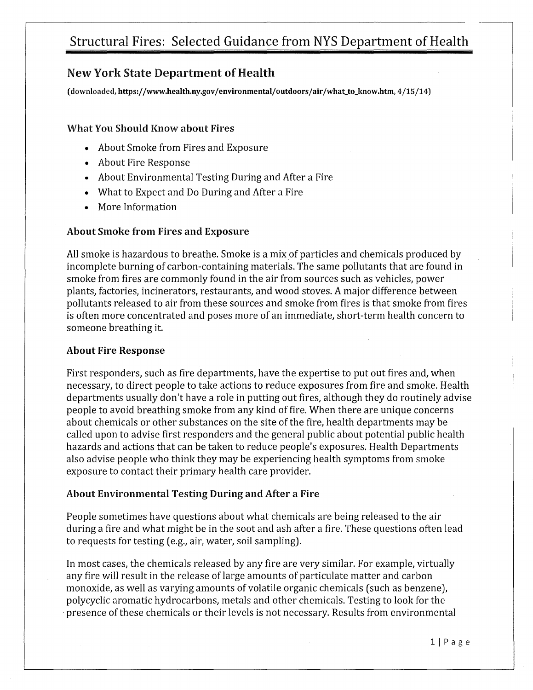### New York State Department of Health

(downloaded, https://www.health.ny.gov/ environmental/ outdoors/air /what\_to\_know.htm, 4 /15 /14)

### What You Should Know about Fires

- About Smoke from Fires and Exposure
- About Fire Response
- About Environmental Testing During and After a Fire
- What to Expect and Do During and After a Fire
- More Information

### About Smoke from Fires and Exposure

All smoke is hazardous to breathe. Smoke is a mix of particles and chemicals produced by incomplete burning of carbon-containing materials. The same pollutants that are found in smoke from fires are commonly found in the air from sources such as vehicles, power plants, factories, incinerators, restaurants, and wood stoves. A major difference between pollutants released to air from these sources and smoke from fires is that smoke from fires is often more concentrated and poses more of an immediate, short-term health concern to someone breathing it.

### About Fire Response

First responders, such as fire departments, have the expertise to put out fires and, when necessary, to direct people to take actions to reduce exposures from fire and smoke. Health departments usually don't have a role in putting out fires, although they do routinely advise people to avoid breathing smoke from any kind of fire. When there are unique concerns about chemicals or other substances on the site of the fire, health departments may be called upon to advise first responders and the general public about potential public health hazards and actions that can be taken to reduce people's exposures. Health Departments also advise people who think they may be experiencing health symptoms from smoke exposure to contact their primary health care provider.

### About Environmental Testing During and After a Fire

People sometimes have questions about what chemicals are being released to the air during a fire and what might be in the soot and ash after a fire. These questions often lead to requests for testing (e.g., air, water, soil sampling).

In most cases, the chemicals released by any fire are very similar. For example, virtually any fire will result in the release of large amounts of particulate matter and carbon monoxide, as well as varying amounts of volatile organic chemicals (such as benzene), polycyclic aromatic hydrocarbons, metals and other chemicals. Testing to look for the presence of these chemicals or their levels is not necessary. Results from environmental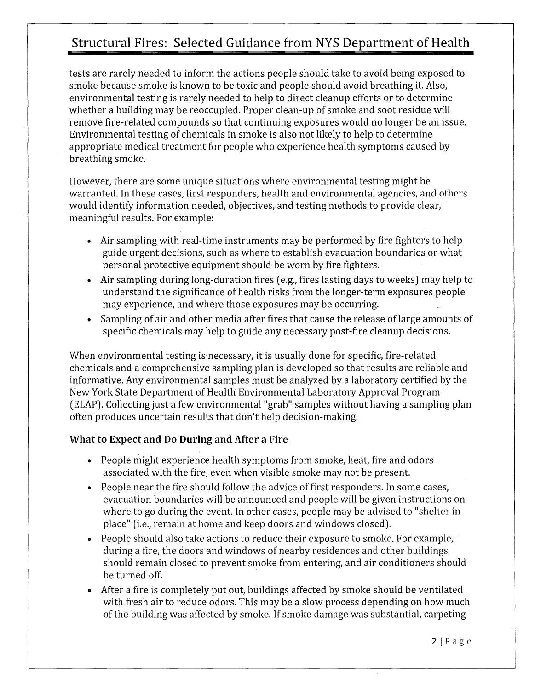tests are rarely needed to inform the actions people should take to avoid being exposed to smoke because smoke is known to be toxic and people should avoid breathing it. Also, environmental testing is rarely needed to help to direct cleanup efforts or to determine whether a building may be reoccupied. Proper clean-up of smoke and soot residue will remove fire-related compounds so that continuing exposures would no longer be an issue. Environmental testing of chemicals in smoke is also not likely to help to determine appropriate medical treatment for people who experience health symptoms caused by breathing smoke.

However, there are some unique situations where environmental testing might be warranted. In these cases, first responders, health and environmental agencies, and others would identify information needed, objectives, and testing methods to provide clear, meaningful results. For example:

- Air sampling with real-time instruments may be performed by fire fighters to help guide urgent decisions, such as where to establish evacuation boundaries or what personal protective equipment should be worn by fire fighters.
- Air sampling during long-duration fires (e.g., fires lasting days to weeks) may help to understand the significance of health risks from the longer-term exposures people may experience, and where those exposures may be occurring.
- Sampling of air and other media after fires that cause the release of large amounts of specific chemicals may help to guide any necessary post-fire cleanup decisions.

When environmental testing is necessary, it is usually done for specific, fire-related chemicals and a comprehensive sampling plan is developed so that results are reliable and informative. Any environmental samples must be analyzed by a laboratory certified by the New York State Department of Health Environmental Laboratory Approval Program (ELAP). Collecting just a few environmental "grab" samples without having a sampling plan often produces uncertain results that don't help decision-making.

### What to Expect and Do During and After a Fire

- People might experience health symptoms from smoke, heat, fire and odors associated with the fire, even when visible smoke may not be present.
- People near the fire should follow the advice of first responders. In some cases, evacuation boundaries will be announced and people will be given instructions on where to go during the event. In other cases, people may be advised to "shelter in place" (i.e., remain at home and keep doors and windows closed).
- People should also take actions to reduce their exposure to smoke. For example, · during a fire, the doors and windows of nearby residences and other buildings should remain closed to prevent smoke from entering, and air conditioners should be turned off.
- After a fire is completely put out, buildings affected by smoke should be ventilated with fresh air to reduce odors. This may be a slow process depending on how much of the building was affected by smoke. If smoke damage was substantial, carpeting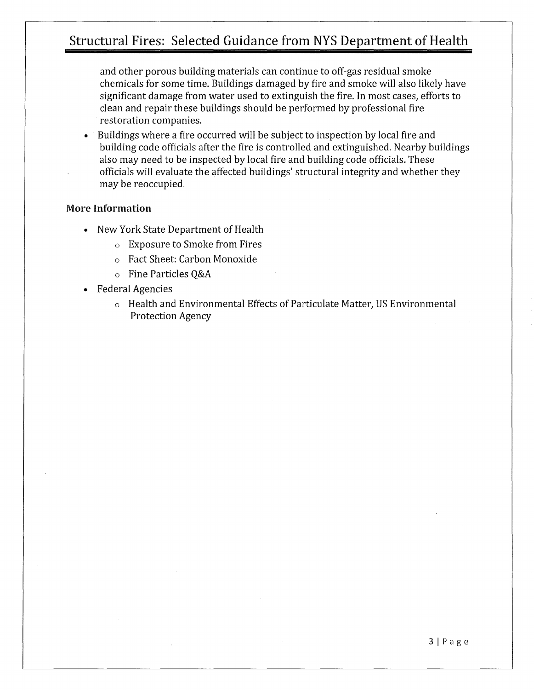and other porous building materials can continue to off-gas residual smoke chemicals for some time. Buildings damaged by fire and smoke will also likely have significant damage from water used to extinguish the fire. In most cases, efforts to clean and repair these buildings should be performed by professional fire restoration companies.

• Buildings where a fire occurred will be subject to inspection by local fire and building code officials after the fire is controlled and extinguished. Nearby buildings also may need to be inspected by local fire and building code officials. These officials will evaluate the affected buildings' structural integrity and whether they may be reoccupied.

### More **Information**

- New York State Department of Health
	- o Exposure to Smoke from Fires
	- o Fact Sheet: Carbon Monoxide
	- o Fine Particles Q&A
- Federal Agencies
	- o Health and Environmental Effects of Particulate Matter, US Environmental Protection Agency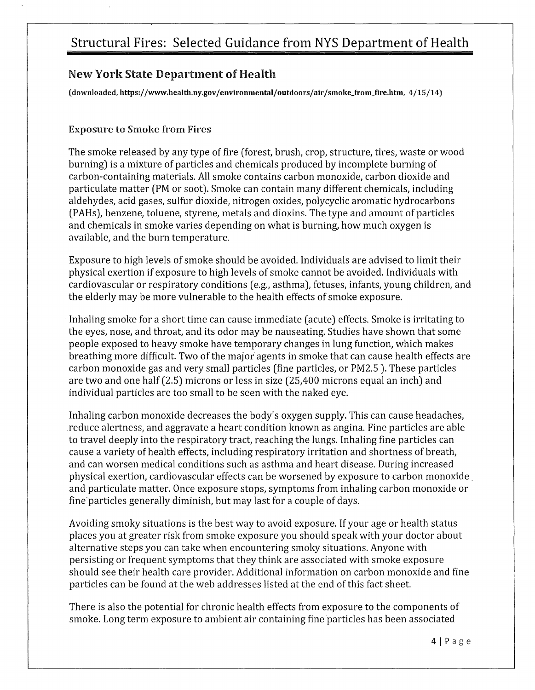## New York State Department of Health

(downloaded,https://www.health.ny.gov/environmental/outdoors/air /smoke\_from\_fire.htm, 4/15 /14)

### Exposure to Smoke from Fires

The smoke released by any type of fire (forest, brush, crop, structure, tires, waste or wood burning) is a mixture of particles and chemicals produced by incomplete burning of carbon-containing materials. All smoke contains carbon monoxide, carbon dioxide and particulate matter (PM or soot). Smoke can contain many different chemicals, including aldehydes, acid gases, sulfur dioxide, nitrogen oxides, polycyclic aromatic hydrocarbons (PAHs), benzene, toluene, styrene, metals and dioxins. The type and amount of particles and chemicals in smoke varies depending on what is burning, how much oxygen is available, and the burn temperature.

Exposure to high levels of smoke should be avoided. Individuals are advised to limit their physical exertion if exposure to high levels of smoke cannot be avoided. Individuals with cardiovascular or respiratory conditions (e.g., asthma), fetuses, infants, young children, and the elderly may be more vulnerable to the health effects of smoke exposure.

Inhaling smoke for a short time can cause immediate (acute) effects. Smoke is irritating to the eyes, nose, and throat, and its odor may be nauseating. Studies have shown that some people exposed to heavy smoke have temporary changes in lung function, which makes breathing more difficult. Two of the major agents in smoke that can cause health effects are carbon monoxide gas and very small particles (fine particles, or PM2.5 ). These particles are two and one half (2.5) microns or less in size (25,400 microns equal an inch) and individual particles are too small to be seen with the naked eye.

Inhaling carbon monoxide decreases the body's oxygen supply. This can cause headaches, .reduce alertness, and aggravate a heart condition known as angina. Fine particles are able to travel deeply into the respiratory tract, reaching the lungs. Inhaling fine particles can cause a variety of health effects, including respiratory irritation and shortness of breath, and can worsen medical conditions such as asthma and heart disease. During increased physical exertion, cardiovascular effects can be worsened by exposure to carbon monoxide , and particulate matter. Once exposure stops, symptoms from inhaling carbon monoxide or fine particles generally diminish, but may last for a couple of days.

Avoiding smoky situations is the best way to avoid exposure. If your age or health status places you at greater risk from smoke exposure you should speak with your doctor about alternative steps you can take when encountering smoky situations. Anyone with persisting or frequent symptoms that they think are associated with smoke exposure should see their health care provider. Additional information on carbon monoxide and fine particles can be found at the web addresses listed at the end of this fact sheet.

There is also the potential for chronic health effects from exposure to the components of smoke. Long term exposure to ambient air containing fine particles has been associated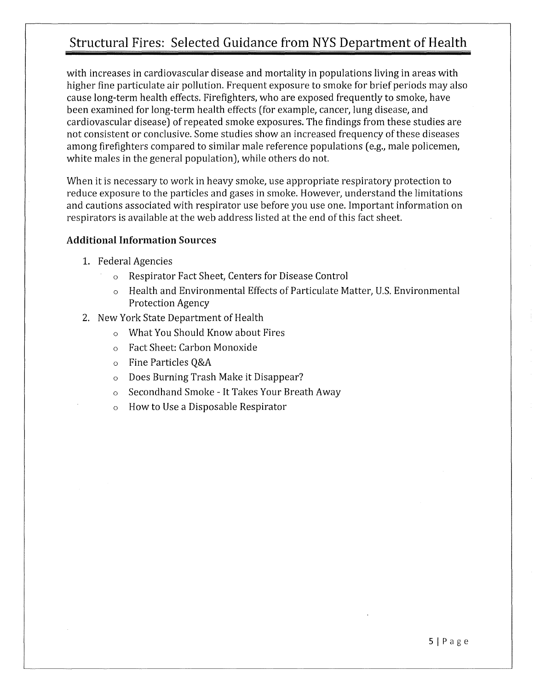with increases in cardiovascular disease and mortality in populations living in areas with higher fine particulate air pollution. Frequent exposure to smoke for brief periods may also cause long-term health effects. Firefighters, who are exposed frequently to smoke, have been examined for long-term health effects (for example, cancer, lung disease, and cardiovascular disease) of repeated smoke exposures. The findings from these studies are not consistent or conclusive. Some studies show an increased frequency of these diseases among firefighters compared to similar male reference populations (e.g., male policemen, white males in the general population), while others do not.

When it is necessary to work in heavy smoke, use appropriate respiratory protection to reduce exposure to the particles and gases in smoke. However, understand the limitations and cautions associated with respirator use before you use one. Important information on respirators is available at the web address listed at the end of this fact sheet.

### Additional Information Sources

- 1. Federal Agencies
	- o Respirator Fact Sheet, Centers for Disease Control
	- o Health and Environmental Effects of Particulate Matter, U.S. Environmental Protection Agency
- 2. New York State Department of Health
	- o What You Should Know about Fires
	- o Fact Sheet: Carbon Monoxide
	- o Fine Particles Q&A
	- o Does Burning Trash Make it Disappear?
	- o Secondhand Smoke It Takes Your Breath Away
	- How to Use a Disposable Respirator